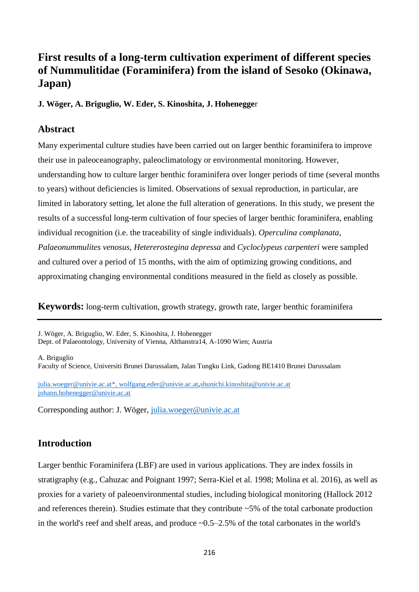# **First results of a long-term cultivation experiment of different species of Nummulitidae (Foraminifera) from the island of Sesoko (Okinawa, Japan)**

**J. Wöger, A. Briguglio, W. Eder, S. Kinoshita, J. Hohenegge**r

# **Abstract**

Many experimental culture studies have been carried out on larger benthic foraminifera to improve their use in paleoceanography, paleoclimatology or environmental monitoring. However, understanding how to culture larger benthic foraminifera over longer periods of time (several months to years) without deficiencies is limited. Observations of sexual reproduction, in particular, are limited in laboratory setting, let alone the full alteration of generations. In this study, we present the results of a successful long-term cultivation of four species of larger benthic foraminifera, enabling individual recognition (i.e. the traceability of single individuals). *Operculina complanata*, *Palaeonummulites venosus*, *Hetererostegina depressa* and *Cycloclypeus carpenteri* were sampled and cultured over a period of 15 months, with the aim of optimizing growing conditions, and approximating changing environmental conditions measured in the field as closely as possible.

**Keywords:** long-term cultivation, growth strategy, growth rate, larger benthic foraminifera

J. Wöger, A. Briguglio, W. Eder, S. Kinoshita, J. Hohenegger Dept. of Palaeontology, University of Vienna, Althanstra14, A-1090 Wien; Austria

A. Briguglio

Faculty of Science, Universiti Brunei Darussalam, Jalan Tungku Link, Gadong BE1410 Brunei Darussalam

[julia.woeger@univie.ac.at\\*](mailto:julia.woeger@univie.ac.at), [wolfgang.eder@univie.ac.at](mailto:wolfgang.eder@univie.ac.at),[shunichi.kinoshita@univie.ac.at](mailto:shunichi.kinoshita@univie.ac.at) [johann.hohenegger@univie.ac.at](mailto:johann.hohenegger@univie.ac.at)

Corresponding author: J. Wöger, [julia.woeger@univie.ac.at](mailto:julia.woeger@univie.ac.at)

# **Introduction**

Larger benthic Foraminifera (LBF) are used in various applications. They are index fossils in stratigraphy (e.g., Cahuzac and Poignant 1997; Serra-Kiel et al. 1998; Molina et al. 2016), as well as proxies for a variety of paleoenvironmental studies, including biological monitoring (Hallock 2012 and references therein). Studies estimate that they contribute ~5% of the total carbonate production in the world's reef and shelf areas, and produce ~0.5–2.5% of the total carbonates in the world's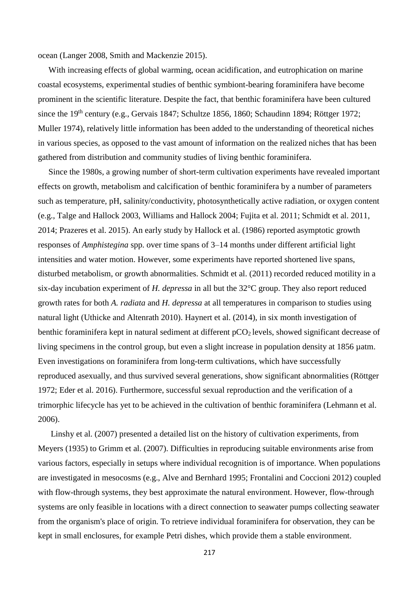ocean (Langer 2008, Smith and Mackenzie 2015).

 With increasing effects of global warming, ocean acidification, and eutrophication on marine coastal ecosystems, experimental studies of benthic symbiont-bearing foraminifera have become prominent in the scientific literature. Despite the fact, that benthic foraminifera have been cultured since the 19<sup>th</sup> century (e.g., Gervais 1847; Schultze 1856, 1860; Schaudinn 1894; Röttger 1972; Muller 1974), relatively little information has been added to the understanding of theoretical niches in various species, as opposed to the vast amount of information on the realized niches that has been gathered from distribution and community studies of living benthic foraminifera.

 Since the 1980s, a growing number of short-term cultivation experiments have revealed important effects on growth, metabolism and calcification of benthic foraminifera by a number of parameters such as temperature, pH, salinity/conductivity, photosynthetically active radiation, or oxygen content (e.g., Talge and Hallock 2003, Williams and Hallock 2004; Fujita et al. 2011; Schmidt et al. 2011, 2014; Prazeres et al. 2015). An early study by Hallock et al. (1986) reported asymptotic growth responses of *Amphistegina* spp. over time spans of 3–14 months under different artificial light intensities and water motion. However, some experiments have reported shortened live spans, disturbed metabolism, or growth abnormalities. Schmidt et al. (2011) recorded reduced motility in a six-day incubation experiment of *H. depressa* in all but the 32°C group. They also report reduced growth rates for both *A. radiata* and *H. depressa* at all temperatures in comparison to studies using natural light (Uthicke and Altenrath 2010). Haynert et al. (2014), in six month investigation of benthic foraminifera kept in natural sediment at different  $pCO<sub>2</sub>$  levels, showed significant decrease of living specimens in the control group, but even a slight increase in population density at 1856 µatm. Even investigations on foraminifera from long-term cultivations, which have successfully reproduced asexually, and thus survived several generations, show significant abnormalities (Röttger 1972; Eder et al. 2016). Furthermore, successful sexual reproduction and the verification of a trimorphic lifecycle has yet to be achieved in the cultivation of benthic foraminifera (Lehmann et al. 2006).

 Linshy et al. (2007) presented a detailed list on the history of cultivation experiments, from Meyers (1935) to Grimm et al. (2007). Difficulties in reproducing suitable environments arise from various factors, especially in setups where individual recognition is of importance. When populations are investigated in mesocosms (e.g., Alve and Bernhard 1995; Frontalini and Coccioni 2012) coupled with flow-through systems, they best approximate the natural environment. However, flow-through systems are only feasible in locations with a direct connection to seawater pumps collecting seawater from the organism's place of origin. To retrieve individual foraminifera for observation, they can be kept in small enclosures, for example Petri dishes, which provide them a stable environment.

217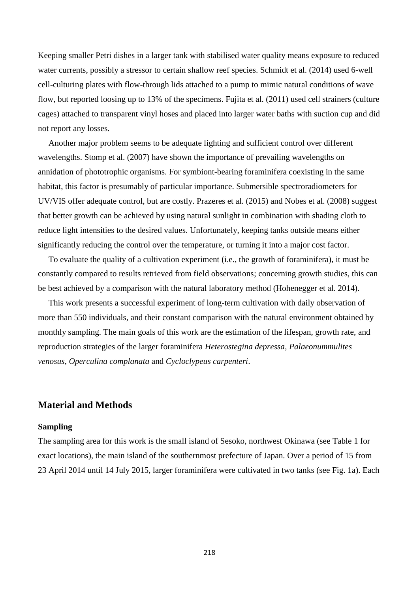Keeping smaller Petri dishes in a larger tank with stabilised water quality means exposure to reduced water currents, possibly a stressor to certain shallow reef species. Schmidt et al. (2014) used 6-well cell-culturing plates with flow-through lids attached to a pump to mimic natural conditions of wave flow, but reported loosing up to 13% of the specimens. Fujita et al. (2011) used cell strainers (culture cages) attached to transparent vinyl hoses and placed into larger water baths with suction cup and did not report any losses.

 Another major problem seems to be adequate lighting and sufficient control over different wavelengths. Stomp et al. (2007) have shown the importance of prevailing wavelengths on annidation of phototrophic organisms. For symbiont-bearing foraminifera coexisting in the same habitat, this factor is presumably of particular importance. Submersible spectroradiometers for UV/VIS offer adequate control, but are costly. Prazeres et al. (2015) and Nobes et al. (2008) suggest that better growth can be achieved by using natural sunlight in combination with shading cloth to reduce light intensities to the desired values. Unfortunately, keeping tanks outside means either significantly reducing the control over the temperature, or turning it into a major cost factor.

 To evaluate the quality of a cultivation experiment (i.e., the growth of foraminifera), it must be constantly compared to results retrieved from field observations; concerning growth studies, this can be best achieved by a comparison with the natural laboratory method (Hohenegger et al. 2014).

 This work presents a successful experiment of long-term cultivation with daily observation of more than 550 individuals, and their constant comparison with the natural environment obtained by monthly sampling. The main goals of this work are the estimation of the lifespan, growth rate, and reproduction strategies of the larger foraminifera *Heterostegina depressa*, *Palaeonummulites venosus*, *Operculina complanata* and *Cycloclypeus carpenteri*.

## **Material and Methods**

#### **Sampling**

The sampling area for this work is the small island of Sesoko, northwest Okinawa (see Table 1 for exact locations), the main island of the southernmost prefecture of Japan. Over a period of 15 from 23 April 2014 until 14 July 2015, larger foraminifera were cultivated in two tanks (see Fig. 1a). Each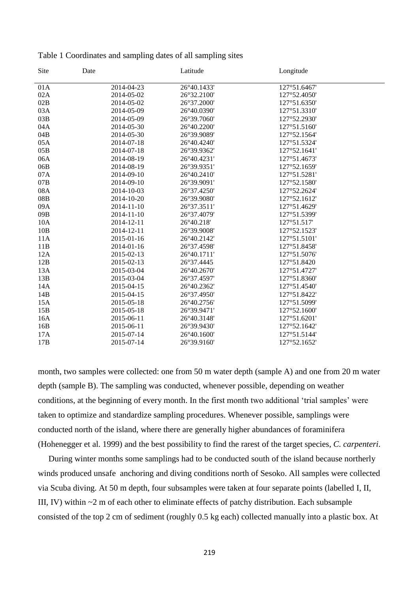| Date       |                                                                    |                                                                                     |                                                           |
|------------|--------------------------------------------------------------------|-------------------------------------------------------------------------------------|-----------------------------------------------------------|
|            |                                                                    |                                                                                     |                                                           |
|            |                                                                    |                                                                                     |                                                           |
|            |                                                                    |                                                                                     |                                                           |
|            |                                                                    | 127°51.3310'                                                                        |                                                           |
| 2014-05-09 | 26°39.7060'                                                        | 127°52.2930'                                                                        |                                                           |
| 2014-05-30 | 26°40.2200'                                                        | 127°51.5160'                                                                        |                                                           |
| 2014-05-30 | 26°39.9089'                                                        | 127°52.1564'                                                                        |                                                           |
| 2014-07-18 | 26°40.4240'                                                        | 127°51.5324'                                                                        |                                                           |
| 2014-07-18 |                                                                    | 127°52.1641'                                                                        |                                                           |
| 2014-08-19 | 26°40.4231'                                                        | 127°51.4673'                                                                        |                                                           |
| 2014-08-19 | 26°39.9351'                                                        | 127°52.1659'                                                                        |                                                           |
| 2014-09-10 | 26°40.2410'                                                        | 127°51.5281'                                                                        |                                                           |
| 2014-09-10 | 26°39.9091'                                                        | 127°52.1580'                                                                        |                                                           |
| 2014-10-03 | 26°37.4250'                                                        | 127°52.2624'                                                                        |                                                           |
| 2014-10-20 | 26°39.9080'                                                        | 127°52.1612'                                                                        |                                                           |
| 2014-11-10 | 26°37.3511'                                                        | 127°51.4629'                                                                        |                                                           |
| 2014-11-10 | 26°37.4079'                                                        | 127°51.5399'                                                                        |                                                           |
| 2014-12-11 | 26°40.218'                                                         | 127°51.517'                                                                         |                                                           |
| 2014-12-11 | 26°39.9008'                                                        | 127°52.1523'                                                                        |                                                           |
| 2015-01-16 | 26°40.2142'                                                        | 127°51.5101'                                                                        |                                                           |
| 2014-01-16 | 26°37.4598'                                                        | 127°51.8458'                                                                        |                                                           |
| 2015-02-13 | 26°40.1711'                                                        | 127°51.5076'                                                                        |                                                           |
| 2015-02-13 | 26°37.4445                                                         | 127°51.8420                                                                         |                                                           |
| 2015-03-04 | 26°40.2670'                                                        | 127°51.4727'                                                                        |                                                           |
| 2015-03-04 | 26°37.4597'                                                        | 127°51.8360'                                                                        |                                                           |
| 2015-04-15 | 26°40.2362'                                                        | 127°51.4540'                                                                        |                                                           |
| 2015-04-15 | 26°37.4950'                                                        | 127°51.8422'                                                                        |                                                           |
|            | 26°40.2756'                                                        | 127°51.5099'                                                                        |                                                           |
| 2015-05-18 | 26°39.9471'                                                        | 127°52.1600'                                                                        |                                                           |
| 2015-06-11 | 26°40.3148'                                                        | 127°51.6201'                                                                        |                                                           |
| 2015-06-11 | 26°39.9430'                                                        | 127°52.1642'                                                                        |                                                           |
| 2015-07-14 | 26°40.1600'                                                        | 127°51.5144'                                                                        |                                                           |
| 2015-07-14 | 26°39.9160'                                                        | 127°52.1652'                                                                        |                                                           |
|            | 2014-04-23<br>2014-05-02<br>2014-05-02<br>2014-05-09<br>2015-05-18 | Latitude<br>26°40.1433'<br>26°32.2100'<br>26°37.2000'<br>26°40.0390'<br>26°39.9362' | Longitude<br>127°51.6467'<br>127°52.4050'<br>127°51.6350' |

Table 1 Coordinates and sampling dates of all sampling sites

month, two samples were collected: one from 50 m water depth (sample A) and one from 20 m water depth (sample B). The sampling was conducted, whenever possible, depending on weather conditions, at the beginning of every month. In the first month two additional 'trial samples' were taken to optimize and standardize sampling procedures. Whenever possible, samplings were conducted north of the island, where there are generally higher abundances of foraminifera (Hohenegger et al. 1999) and the best possibility to find the rarest of the target species, *C. carpenteri*.

 During winter months some samplings had to be conducted south of the island because northerly winds produced unsafe anchoring and diving conditions north of Sesoko. All samples were collected via Scuba diving. At 50 m depth, four subsamples were taken at four separate points (labelled I, II, III, IV) within ~2 m of each other to eliminate effects of patchy distribution. Each subsample consisted of the top 2 cm of sediment (roughly 0.5 kg each) collected manually into a plastic box. At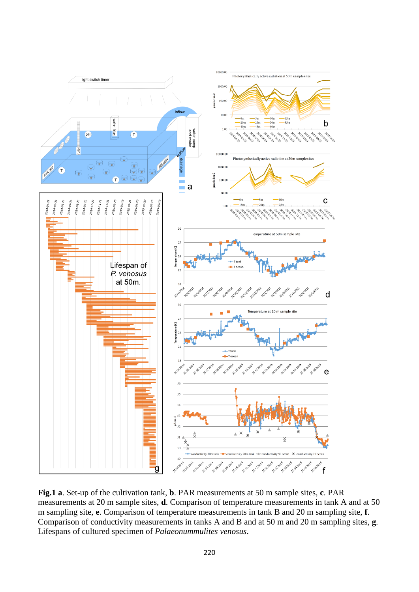

**Fig.1 a**. Set-up of the cultivation tank, **b**. PAR measurements at 50 m sample sites, **c**. PAR measurements at 20 m sample sites, **d**. Comparison of temperature measurements in tank A and at 50 m sampling site, **e**. Comparison of temperature measurements in tank B and 20 m sampling site, **f**. Comparison of conductivity measurements in tanks A and B and at 50 m and 20 m sampling sites, **g**. Lifespans of cultured specimen of *Palaeonummulites venosus*.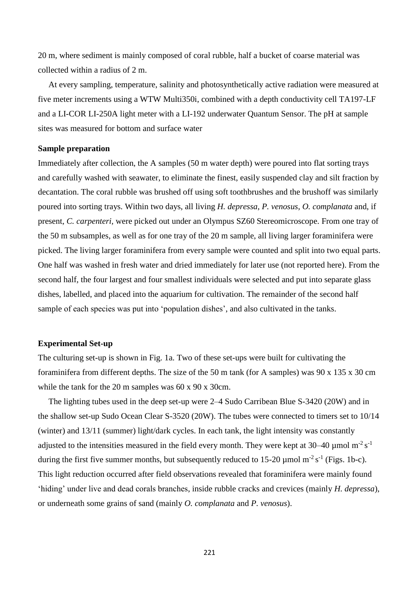20 m, where sediment is mainly composed of coral rubble, half a bucket of coarse material was collected within a radius of 2 m.

 At every sampling, temperature, salinity and photosynthetically active radiation were measured at five meter increments using a WTW Multi350i, combined with a depth conductivity cell TA197-LF and a LI-COR LI-250A light meter with a LI-192 underwater Quantum Sensor. The pH at sample sites was measured for bottom and surface water

#### **Sample preparation**

Immediately after collection, the A samples (50 m water depth) were poured into flat sorting trays and carefully washed with seawater, to eliminate the finest, easily suspended clay and silt fraction by decantation. The coral rubble was brushed off using soft toothbrushes and the brushoff was similarly poured into sorting trays. Within two days, all living *H. depressa*, *P. venosus*, *O. complanata* and, if present, *C. carpenteri,* were picked out under an Olympus SZ60 Stereomicroscope. From one tray of the 50 m subsamples, as well as for one tray of the 20 m sample, all living larger foraminifera were picked. The living larger foraminifera from every sample were counted and split into two equal parts. One half was washed in fresh water and dried immediately for later use (not reported here). From the second half, the four largest and four smallest individuals were selected and put into separate glass dishes, labelled, and placed into the aquarium for cultivation. The remainder of the second half sample of each species was put into 'population dishes', and also cultivated in the tanks.

#### **Experimental Set-up**

The culturing set-up is shown in Fig. 1a. Two of these set-ups were built for cultivating the foraminifera from different depths. The size of the 50 m tank (for A samples) was 90 x 135 x 30 cm while the tank for the 20 m samples was 60 x 90 x 30cm.

 The lighting tubes used in the deep set-up were 2–4 Sudo Carribean Blue S-3420 (20W) and in the shallow set-up Sudo Ocean Clear S-3520 (20W). The tubes were connected to timers set to 10/14 (winter) and 13/11 (summer) light/dark cycles. In each tank, the light intensity was constantly adjusted to the intensities measured in the field every month. They were kept at 30–40  $\mu$ mol m<sup>-2</sup> s<sup>-1</sup> during the first five summer months, but subsequently reduced to 15-20  $\mu$ mol m<sup>-2</sup> s<sup>-1</sup> (Figs. 1b-c). This light reduction occurred after field observations revealed that foraminifera were mainly found 'hiding' under live and dead corals branches, inside rubble cracks and crevices (mainly *H. depressa*), or underneath some grains of sand (mainly *O. complanata* and *P. venosus*).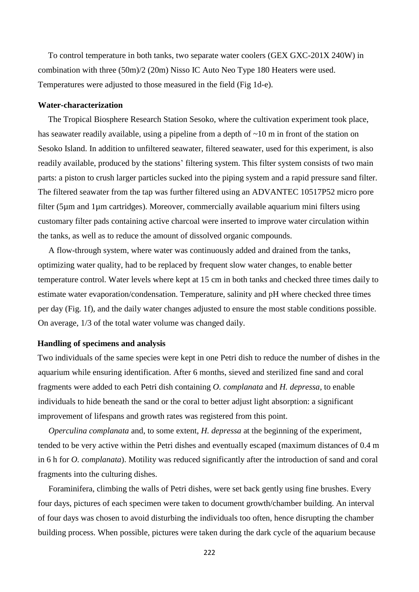To control temperature in both tanks, two separate water coolers (GEX GXC-201X 240W) in combination with three (50m)/2 (20m) Nisso IC Auto Neo Type 180 Heaters were used. Temperatures were adjusted to those measured in the field (Fig 1d-e).

#### **Water-characterization**

The Tropical Biosphere Research Station Sesoko, where the cultivation experiment took place, has seawater readily available, using a pipeline from a depth of  $\sim 10$  m in front of the station on Sesoko Island. In addition to unfiltered seawater, filtered seawater, used for this experiment, is also readily available, produced by the stations' filtering system. This filter system consists of two main parts: a piston to crush larger particles sucked into the piping system and a rapid pressure sand filter. The filtered seawater from the tap was further filtered using an ADVANTEC 10517P52 micro pore filter (5µm and 1µm cartridges). Moreover, commercially available aquarium mini filters using customary filter pads containing active charcoal were inserted to improve water circulation within the tanks, as well as to reduce the amount of dissolved organic compounds.

 A flow-through system, where water was continuously added and drained from the tanks, optimizing water quality, had to be replaced by frequent slow water changes, to enable better temperature control. Water levels where kept at 15 cm in both tanks and checked three times daily to estimate water evaporation/condensation. Temperature, salinity and pH where checked three times per day (Fig. 1f), and the daily water changes adjusted to ensure the most stable conditions possible. On average, 1/3 of the total water volume was changed daily.

#### **Handling of specimens and analysis**

Two individuals of the same species were kept in one Petri dish to reduce the number of dishes in the aquarium while ensuring identification. After 6 months, sieved and sterilized fine sand and coral fragments were added to each Petri dish containing *O. complanata* and *H. depressa*, to enable individuals to hide beneath the sand or the coral to better adjust light absorption: a significant improvement of lifespans and growth rates was registered from this point.

 *Operculina complanata* and, to some extent, *H. depressa* at the beginning of the experiment, tended to be very active within the Petri dishes and eventually escaped (maximum distances of 0.4 m in 6 h for *O. complanata*). Motility was reduced significantly after the introduction of sand and coral fragments into the culturing dishes.

 Foraminifera, climbing the walls of Petri dishes, were set back gently using fine brushes. Every four days, pictures of each specimen were taken to document growth/chamber building. An interval of four days was chosen to avoid disturbing the individuals too often, hence disrupting the chamber building process. When possible, pictures were taken during the dark cycle of the aquarium because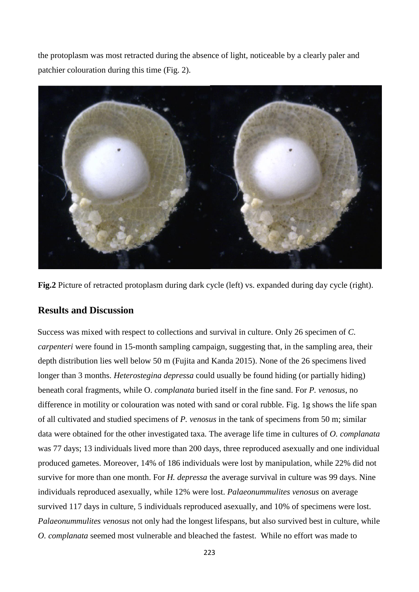the protoplasm was most retracted during the absence of light, noticeable by a clearly paler and patchier colouration during this time (Fig. 2).



Fig.2 Picture of retracted protoplasm during dark cycle (left) vs. expanded during day cycle (right).

# **Results and Discussion**

Success was mixed with respect to collections and survival in culture. Only 26 specimen of *C. carpenteri* were found in 15-month sampling campaign, suggesting that, in the sampling area, their depth distribution lies well below 50 m (Fujita and Kanda 2015). None of the 26 specimens lived longer than 3 months. *Heterostegina depressa* could usually be found hiding (or partially hiding) beneath coral fragments, while O. *complanata* buried itself in the fine sand. For *P. venosus*, no difference in motility or colouration was noted with sand or coral rubble. Fig. 1g shows the life span of all cultivated and studied specimens of *P. venosus* in the tank of specimens from 50 m; similar data were obtained for the other investigated taxa. The average life time in cultures of *O. complanata* was 77 days; 13 individuals lived more than 200 days, three reproduced asexually and one individual produced gametes. Moreover, 14% of 186 individuals were lost by manipulation, while 22% did not survive for more than one month. For *H. depressa* the average survival in culture was 99 days. Nine individuals reproduced asexually, while 12% were lost. *Palaeonummulites venosus* on average survived 117 days in culture, 5 individuals reproduced asexually, and 10% of specimens were lost. *Palaeonummulites venosus* not only had the longest lifespans, but also survived best in culture, while *O. complanata* seemed most vulnerable and bleached the fastest. While no effort was made to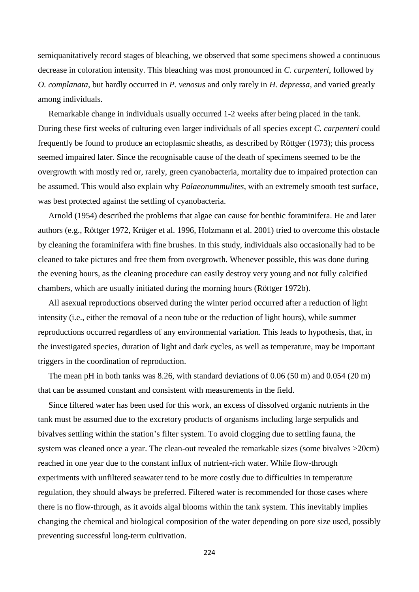semiquanitatively record stages of bleaching, we observed that some specimens showed a continuous decrease in coloration intensity. This bleaching was most pronounced in *C. carpenteri*, followed by *O. complanata*, but hardly occurred in *P. venosus* and only rarely in *H. depressa,* and varied greatly among individuals.

 Remarkable change in individuals usually occurred 1-2 weeks after being placed in the tank. During these first weeks of culturing even larger individuals of all species except *C. carpenteri* could frequently be found to produce an ectoplasmic sheaths, as described by Röttger (1973); this process seemed impaired later. Since the recognisable cause of the death of specimens seemed to be the overgrowth with mostly red or, rarely, green cyanobacteria, mortality due to impaired protection can be assumed. This would also explain why *Palaeonummulites*, with an extremely smooth test surface, was best protected against the settling of cyanobacteria.

 Arnold (1954) described the problems that algae can cause for benthic foraminifera. He and later authors (e.g., Röttger 1972, Krüger et al. 1996, Holzmann et al. 2001) tried to overcome this obstacle by cleaning the foraminifera with fine brushes. In this study, individuals also occasionally had to be cleaned to take pictures and free them from overgrowth. Whenever possible, this was done during the evening hours, as the cleaning procedure can easily destroy very young and not fully calcified chambers, which are usually initiated during the morning hours (Röttger 1972b).

 All asexual reproductions observed during the winter period occurred after a reduction of light intensity (i.e., either the removal of a neon tube or the reduction of light hours), while summer reproductions occurred regardless of any environmental variation. This leads to hypothesis, that, in the investigated species, duration of light and dark cycles, as well as temperature, may be important triggers in the coordination of reproduction.

 The mean pH in both tanks was 8.26, with standard deviations of 0.06 (50 m) and 0.054 (20 m) that can be assumed constant and consistent with measurements in the field.

 Since filtered water has been used for this work, an excess of dissolved organic nutrients in the tank must be assumed due to the excretory products of organisms including large serpulids and bivalves settling within the station's filter system. To avoid clogging due to settling fauna, the system was cleaned once a year. The clean-out revealed the remarkable sizes (some bivalves >20cm) reached in one year due to the constant influx of nutrient-rich water. While flow-through experiments with unfiltered seawater tend to be more costly due to difficulties in temperature regulation, they should always be preferred. Filtered water is recommended for those cases where there is no flow-through, as it avoids algal blooms within the tank system. This inevitably implies changing the chemical and biological composition of the water depending on pore size used, possibly preventing successful long-term cultivation.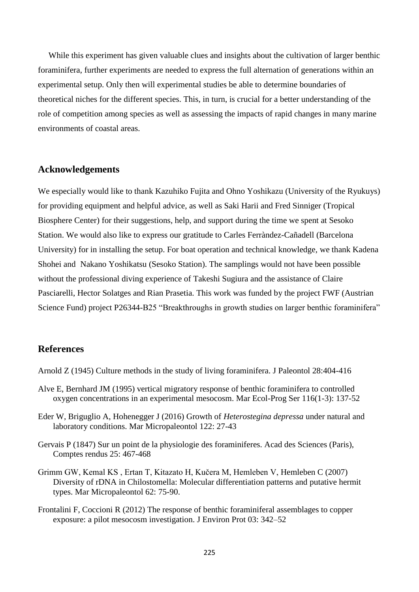While this experiment has given valuable clues and insights about the cultivation of larger benthic foraminifera, further experiments are needed to express the full alternation of generations within an experimental setup. Only then will experimental studies be able to determine boundaries of theoretical niches for the different species. This, in turn, is crucial for a better understanding of the role of competition among species as well as assessing the impacts of rapid changes in many marine environments of coastal areas.

## **Acknowledgements**

We especially would like to thank Kazuhiko Fujita and Ohno Yoshikazu (University of the Ryukuys) for providing equipment and helpful advice, as well as Saki Harii and Fred Sinniger (Tropical Biosphere Center) for their suggestions, help, and support during the time we spent at Sesoko Station. We would also like to express our gratitude to Carles Ferràndez-Cañadell (Barcelona University) for in installing the setup. For boat operation and technical knowledge, we thank Kadena Shohei and Nakano Yoshikatsu (Sesoko Station). The samplings would not have been possible without the professional diving experience of Takeshi Sugiura and the assistance of Claire Pasciarelli, Hector Solatges and Rian Prasetia. This work was funded by the project FWF (Austrian Science Fund) project P26344-B25 "Breakthroughs in growth studies on larger benthic foraminifera"

### **References**

Arnold Z (1945) Culture methods in the study of living foraminifera. J Paleontol 28:404-416

- Alve E, Bernhard JM (1995) vertical migratory response of benthic foraminifera to controlled oxygen concentrations in an experimental mesocosm. Mar Ecol-Prog Ser 116(1-3): 137-52
- Eder W, Briguglio A, Hohenegger J (2016) Growth of *Heterostegina depressa* under natural and laboratory conditions. Mar Micropaleontol 122: 27-43
- Gervais P (1847) Sur un point de la physiologie des foraminiferes. Acad des Sciences (Paris), Comptes rendus 25: 467-468
- Grimm GW, Kemal KS , Ertan T, Kitazato H, Kučera M, Hemleben V, Hemleben C (2007) Diversity of rDNA in Chilostomella: Molecular differentiation patterns and putative hermit types. Mar Micropaleontol 62: 75-90.
- Frontalini F, Coccioni R (2012) The response of benthic foraminiferal assemblages to copper exposure: a pilot mesocosm investigation. J Environ Prot 03: 342–52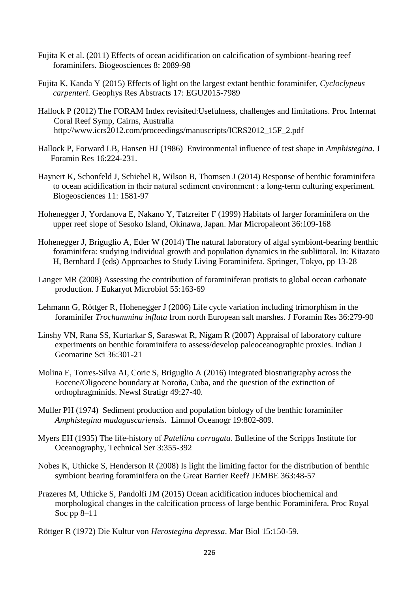- Fujita K et al. (2011) Effects of ocean acidification on calcification of symbiont-bearing reef foraminifers. Biogeosciences 8: 2089-98
- Fujita K, Kanda Y (2015) Effects of light on the largest extant benthic foraminifer, *Cycloclypeus carpenteri*. Geophys Res Abstracts 17: EGU2015-7989
- Hallock P (2012) The FORAM Index revisited:Usefulness, challenges and limitations. Proc Internat Coral Reef Symp, Cairns, Australia http://www.icrs2012.com/proceedings/manuscripts/ICRS2012\_15F\_2.pdf
- Hallock P, Forward LB, Hansen HJ (1986) Environmental influence of test shape in *Amphistegina*. J Foramin Res 16:224-231.
- Haynert K, Schonfeld J, Schiebel R, Wilson B, Thomsen J (2014) Response of benthic foraminifera to ocean acidification in their natural sediment environment : a long-term culturing experiment. Biogeosciences 11: 1581-97
- Hohenegger J, Yordanova E, Nakano Y, Tatzreiter F (1999) Habitats of larger foraminifera on the upper reef slope of Sesoko Island, Okinawa, Japan. Mar Micropaleont 36:109-168
- Hohenegger J, Briguglio A, Eder W (2014) The natural laboratory of algal symbiont-bearing benthic foraminifera: studying individual growth and population dynamics in the sublittoral. In: Kitazato H, Bernhard J (eds) Approaches to Study Living Foraminifera. Springer, Tokyo, pp 13-28
- Langer MR (2008) Assessing the contribution of foraminiferan protists to global ocean carbonate production. J Eukaryot Microbiol 55:163-69
- Lehmann G, Röttger R, Hohenegger J (2006) Life cycle variation including trimorphism in the foraminifer *Trochammina inflata* from north European salt marshes. J Foramin Res 36:279-90
- Linshy VN, Rana SS, Kurtarkar S, Saraswat R, Nigam R (2007) Appraisal of laboratory culture experiments on benthic foraminifera to assess/develop paleoceanographic proxies. Indian J Geomarine Sci 36:301-21
- Molina E, Torres-Silva AI, Coric S, Briguglio A (2016) Integrated biostratigraphy across the Eocene/Oligocene boundary at Noroña, Cuba, and the question of the extinction of orthophragminids. Newsl Stratigr 49:27-40.
- Muller PH (1974) Sediment production and population biology of the benthic foraminifer *Amphistegina madagascariensis*. Limnol Oceanogr 19:802-809.
- Myers EH (1935) The life-history of *Patellina corrugata*. Bulletine of the Scripps Institute for Oceanography, Technical Ser 3:355-392
- Nobes K, Uthicke S, Henderson R (2008) Is light the limiting factor for the distribution of benthic symbiont bearing foraminifera on the Great Barrier Reef? JEMBE 363:48-57
- Prazeres M, Uthicke S, Pandolfi JM (2015) Ocean acidification induces biochemical and morphological changes in the calcification process of large benthic Foraminifera. Proc Royal Soc pp 8–11
- Röttger R (1972) Die Kultur von *Herostegina depressa*. Mar Biol 15:150-59.